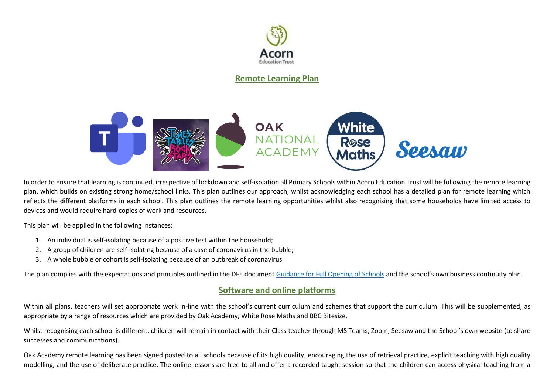

**Remote Learning Plan**



In order to ensure that learning is continued, irrespective of lockdown and self-isolation all Primary Schools within Acorn Education Trust will be following the remote learning plan, which builds on existing strong home/school links. This plan outlines our approach, whilst acknowledging each school has a detailed plan for remote learning which reflects the different platforms in each school. This plan outlines the remote learning opportunities whilst also recognising that some households have limited access to devices and would require hard-copies of work and resources.

This plan will be applied in the following instances:

- 1. An individual is self-isolating because of a positive test within the household;
- 2. A group of children are self-isolating because of a case of coronavirus in the bubble;
- 3. A whole bubble or cohort is self-isolating because of an outbreak of coronavirus

The plan complies with the expectations and principles outlined in the DFE documen[t Guidance for Full Opening of Schools](https://www.gov.uk/government/publications/actions-for-schools-during-the-coronavirus-outbreak/guidance-for-full-opening-schools#res) and the school's own business continuity plan.

## **Software and online platforms**

Within all plans, teachers will set appropriate work in-line with the school's current curriculum and schemes that support the curriculum. This will be supplemented, as appropriate by a range of resources which are provided by Oak Academy, White Rose Maths and BBC Bitesize.

Whilst recognising each school is different, children will remain in contact with their Class teacher through MS Teams, Zoom, Seesaw and the School's own website (to share successes and communications).

Oak Academy remote learning has been signed posted to all schools because of its high quality; encouraging the use of retrieval practice, explicit teaching with high quality modelling, and the use of deliberate practice. The online lessons are free to all and offer a recorded taught session so that the children can access physical teaching from a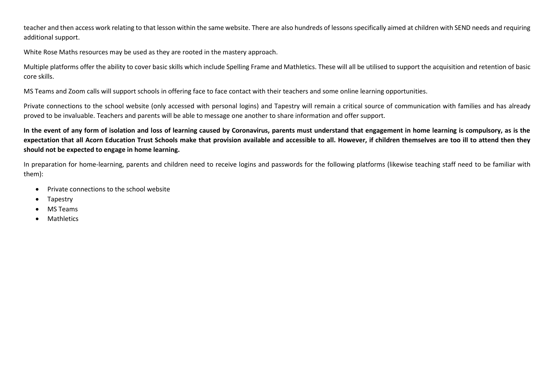teacher and then access work relating to that lesson within the same website. There are also hundreds of lessons specifically aimed at children with SEND needs and requiring additional support.

White Rose Maths resources may be used as they are rooted in the mastery approach.

Multiple platforms offer the ability to cover basic skills which include Spelling Frame and Mathletics. These will all be utilised to support the acquisition and retention of basic core skills.

MS Teams and Zoom calls will support schools in offering face to face contact with their teachers and some online learning opportunities.

Private connections to the school website (only accessed with personal logins) and Tapestry will remain a critical source of communication with families and has already proved to be invaluable. Teachers and parents will be able to message one another to share information and offer support.

**In the event of any form of isolation and loss of learning caused by Coronavirus, parents must understand that engagement in home learning is compulsory, as is the expectation that all Acorn Education Trust Schools make that provision available and accessible to all. However, if children themselves are too ill to attend then they should not be expected to engage in home learning.**

In preparation for home-learning, parents and children need to receive logins and passwords for the following platforms (likewise teaching staff need to be familiar with them):

- Private connections to the school website
- Tapestry
- MS Teams
- **Mathletics**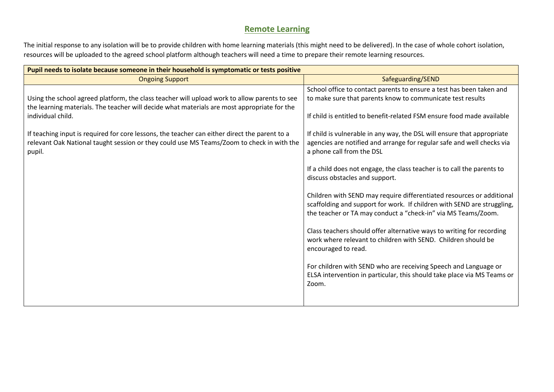## **Remote Learning**

The initial response to any isolation will be to provide children with home learning materials (this might need to be delivered). In the case of whole cohort isolation, resources will be uploaded to the agreed school platform although teachers will need a time to prepare their remote learning resources.

| Pupil needs to isolate because someone in their household is symptomatic or tests positive                                                                                                                       |                                                                                                                                                                                                                   |  |
|------------------------------------------------------------------------------------------------------------------------------------------------------------------------------------------------------------------|-------------------------------------------------------------------------------------------------------------------------------------------------------------------------------------------------------------------|--|
| <b>Ongoing Support</b>                                                                                                                                                                                           | Safeguarding/SEND                                                                                                                                                                                                 |  |
| Using the school agreed platform, the class teacher will upload work to allow parents to see<br>the learning materials. The teacher will decide what materials are most appropriate for the<br>individual child. | School office to contact parents to ensure a test has been taken and<br>to make sure that parents know to communicate test results                                                                                |  |
|                                                                                                                                                                                                                  | If child is entitled to benefit-related FSM ensure food made available                                                                                                                                            |  |
| If teaching input is required for core lessons, the teacher can either direct the parent to a<br>relevant Oak National taught session or they could use MS Teams/Zoom to check in with the<br>pupil.             | If child is vulnerable in any way, the DSL will ensure that appropriate<br>agencies are notified and arrange for regular safe and well checks via<br>a phone call from the DSL                                    |  |
|                                                                                                                                                                                                                  | If a child does not engage, the class teacher is to call the parents to<br>discuss obstacles and support.                                                                                                         |  |
|                                                                                                                                                                                                                  | Children with SEND may require differentiated resources or additional<br>scaffolding and support for work. If children with SEND are struggling,<br>the teacher or TA may conduct a "check-in" via MS Teams/Zoom. |  |
|                                                                                                                                                                                                                  | Class teachers should offer alternative ways to writing for recording<br>work where relevant to children with SEND. Children should be<br>encouraged to read.                                                     |  |
|                                                                                                                                                                                                                  | For children with SEND who are receiving Speech and Language or<br>ELSA intervention in particular, this should take place via MS Teams or<br>Zoom.                                                               |  |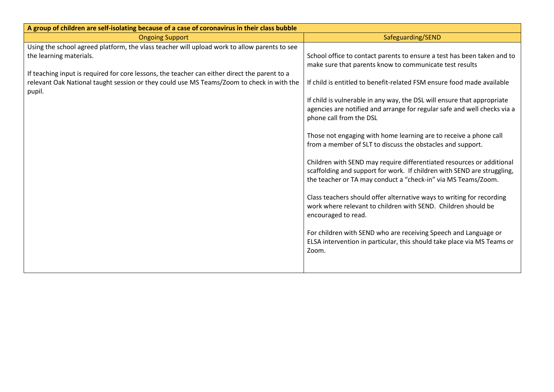| A group of children are self-isolating because of a case of coronavirus in their class bubble                                                                                                                                                                                                                                   |                                                                                                                                                                                                                                                                                                                                                                                                                                                                                                                                                                                                                                                                                                                                                                                                                                                                                                                                                                                                                                                                       |  |
|---------------------------------------------------------------------------------------------------------------------------------------------------------------------------------------------------------------------------------------------------------------------------------------------------------------------------------|-----------------------------------------------------------------------------------------------------------------------------------------------------------------------------------------------------------------------------------------------------------------------------------------------------------------------------------------------------------------------------------------------------------------------------------------------------------------------------------------------------------------------------------------------------------------------------------------------------------------------------------------------------------------------------------------------------------------------------------------------------------------------------------------------------------------------------------------------------------------------------------------------------------------------------------------------------------------------------------------------------------------------------------------------------------------------|--|
| <b>Ongoing Support</b>                                                                                                                                                                                                                                                                                                          | Safeguarding/SEND                                                                                                                                                                                                                                                                                                                                                                                                                                                                                                                                                                                                                                                                                                                                                                                                                                                                                                                                                                                                                                                     |  |
| Using the school agreed platform, the vlass teacher will upload work to allow parents to see<br>the learning materials.<br>If teaching input is required for core lessons, the teacher can either direct the parent to a<br>relevant Oak National taught session or they could use MS Teams/Zoom to check in with the<br>pupil. | School office to contact parents to ensure a test has been taken and to<br>make sure that parents know to communicate test results<br>If child is entitled to benefit-related FSM ensure food made available<br>If child is vulnerable in any way, the DSL will ensure that appropriate<br>agencies are notified and arrange for regular safe and well checks via a<br>phone call from the DSL<br>Those not engaging with home learning are to receive a phone call<br>from a member of SLT to discuss the obstacles and support.<br>Children with SEND may require differentiated resources or additional<br>scaffolding and support for work. If children with SEND are struggling,<br>the teacher or TA may conduct a "check-in" via MS Teams/Zoom.<br>Class teachers should offer alternative ways to writing for recording<br>work where relevant to children with SEND. Children should be<br>encouraged to read.<br>For children with SEND who are receiving Speech and Language or<br>ELSA intervention in particular, this should take place via MS Teams or |  |
|                                                                                                                                                                                                                                                                                                                                 | Zoom.                                                                                                                                                                                                                                                                                                                                                                                                                                                                                                                                                                                                                                                                                                                                                                                                                                                                                                                                                                                                                                                                 |  |